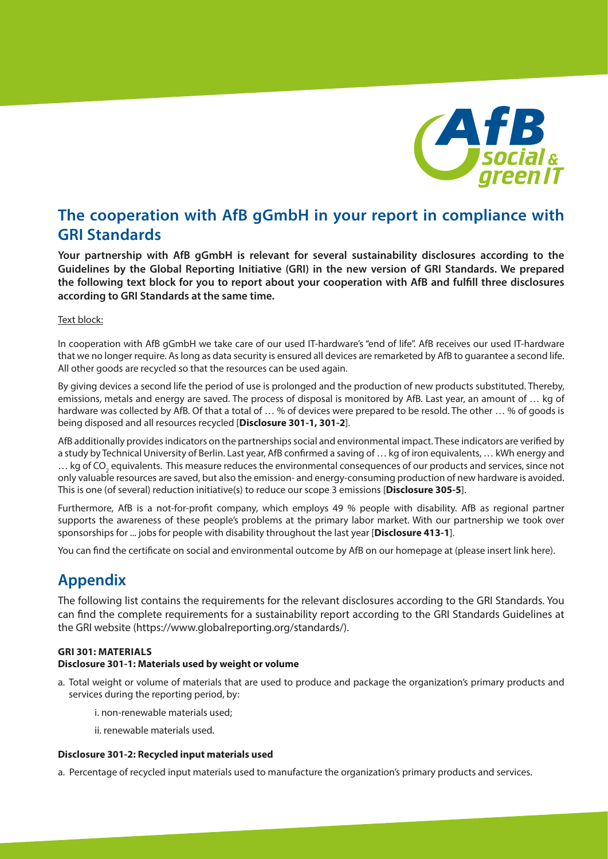

# **The cooperation with AfB gGmbH in your report in compliance with GRI Standards**

**Your partnership with AfB gGmbH is relevant for several sustainability disclosures according to the Guidelines by the Global Reporting Initiative (GRI) in the new version of GRI Standards. We prepared the following text block for you to report about your cooperation with AfB and fulfill three disclosures according to GRI Standards at the same time.**

#### Text block:

In cooperation with AfB gGmbH we take care of our used IT-hardware's "end of life". AfB receives our used IT-hardware that we no longer require. As long as data security is ensured all devices are remarketed by AfB to guarantee a second life. All other goods are recycled so that the resources can be used again.

By giving devices a second life the period of use is prolonged and the production of new products substituted. Thereby, emissions, metals and energy are saved. The process of disposal is monitored by AfB. Last year, an amount of … kg of hardware was collected by AfB. Of that a total of ... % of devices were prepared to be resold. The other ... % of goods is being disposed and all resources recycled [**Disclosure 301-1, 301-2**].

AfB additionally provides indicators on the partnerships social and environmental impact. These indicators are verified by a study by Technical University of Berlin. Last year, AfB confirmed a saving of … kg of iron equivalents, … kWh energy and  $...$  kg of CO<sub>2</sub> equivalents. This measure reduces the environmental consequences of our products and services, since not only valuable resources are saved, but also the emission- and energy-consuming production of new hardware is avoided. This is one (of several) reduction initiative(s) to reduce our scope 3 emissions [**Disclosure 305-5**].

Furthermore, AfB is a not-for-profit company, which employs 49 % people with disability. AfB as regional partner supports the awareness of these people's problems at the primary labor market. With our partnership we took over sponsorships for ... jobs for people with disability throughout the last year [**Disclosure 413-1**].

You can find the certificate on social and environmental outcome by AfB on our homepage at (please insert link here).

## **Appendix**

The following list contains the requirements for the relevant disclosures according to the GRI Standards. You can find the complete requirements for a sustainability report according to the GRI Standards Guidelines at the GRI website (https://www.globalreporting.org/standards/).

#### **GRI 301: MATERIALS**

#### **Disclosure 301-1: Materials used by weight or volume**

- a. Total weight or volume of materials that are used to produce and package the organization's primary products and services during the reporting period, by:
	- i. non-renewable materials used;
	- ii. renewable materials used.

#### **Disclosure 301-2: Recycled input materials used**

a. Percentage of recycled input materials used to manufacture the organization's primary products and services.